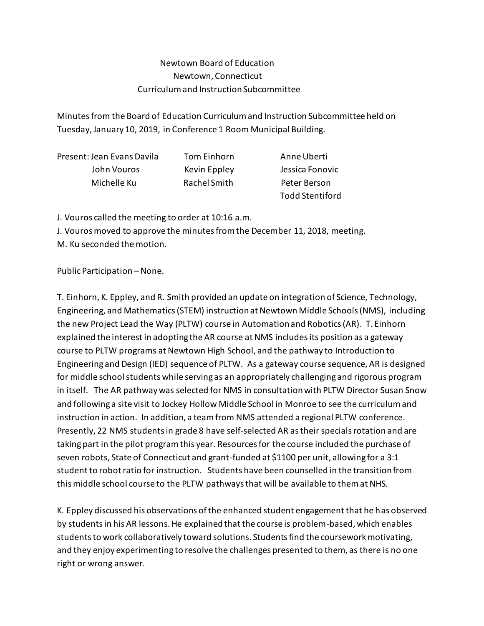## Newtown Board of Education Newtown, Connecticut Curriculum and Instruction Subcommittee

Minutes from the Board of Education Curriculum and Instruction Subcommittee held on Tuesday, January 10, 2019, in Conference 1 Room Municipal Building.

| Present: Jean Evans Davila | Tom Einhorn  |
|----------------------------|--------------|
| John Vouros                | Kevin Eppley |
| Michelle Ku                | Rachel Smith |

Anne Uberti Jessica Fonovic Peter Berson Todd Stentiford

J. Vouros called the meeting to order at 10:16 a.m.

J. Vouros moved to approve the minutes from the December 11, 2018, meeting.

M. Ku seconded the motion.

Public Participation –None.

T. Einhorn, K. Eppley, and R. Smith provided an update on integration of Science, Technology, Engineering, and Mathematics (STEM) instruction at Newtown Middle Schools (NMS), including the new Project Lead the Way (PLTW) course in Automation and Robotics (AR). T. Einhorn explained the interest in adopting the AR course at NMS includes its position as a gateway course to PLTW programs at Newtown High School, and the pathway to Introduction to Engineering and Design (IED) sequence of PLTW. As a gateway course sequence, AR is designed for middle school students while serving as an appropriately challenging and rigorous program in itself. The AR pathway was selected for NMS in consultation with PLTW Director Susan Snow and following a site visit to Jockey Hollow Middle School in Monroe to see the curriculum and instruction in action. In addition, a team from NMS attended a regional PLTW conference. Presently, 22 NMS students in grade 8 have self-selected AR as their specials rotation and are taking part in the pilot program this year. Resources for the course included the purchase of seven robots, State of Connecticut and grant-funded at \$1100 per unit, allowing for a 3:1 student to robot ratio for instruction. Students have been counselled in the transition from this middle school course to the PLTW pathways that will be available to them at NHS.

K. Eppley discussed his observations of the enhanced student engagement that he has observed by students in his AR lessons. He explained that the course is problem-based, which enables students to work collaboratively toward solutions. Students find the coursework motivating, and they enjoy experimenting to resolve the challenges presented to them, as there is no one right or wrong answer.